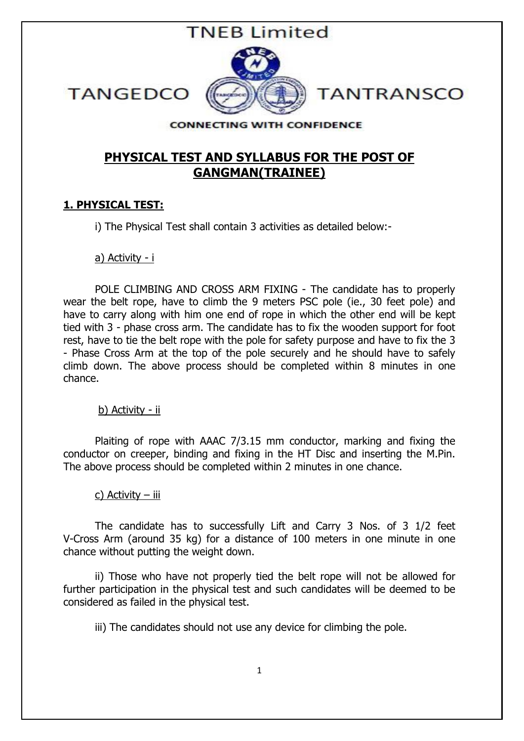

**TANGEDCO** 

#### **CONNECTING WITH CONFIDENCE**

# PHYSICAL TEST AND SYLLABUS FOR THE POST OF GANGMAN(TRAINEE)

## 1. PHYSICAL TEST:

i) The Physical Test shall contain 3 activities as detailed below:-

a) Activity - i

POLE CLIMBING AND CROSS ARM FIXING - The candidate has to properly wear the belt rope, have to climb the 9 meters PSC pole (ie., 30 feet pole) and have to carry along with him one end of rope in which the other end will be kept tied with 3 - phase cross arm. The candidate has to fix the wooden support for foot rest, have to tie the belt rope with the pole for safety purpose and have to fix the 3 - Phase Cross Arm at the top of the pole securely and he should have to safely climb down. The above process should be completed within 8 minutes in one chance.

#### b) Activity - ii

Plaiting of rope with AAAC 7/3.15 mm conductor, marking and fixing the conductor on creeper, binding and fixing in the HT Disc and inserting the M.Pin. The above process should be completed within 2 minutes in one chance.

### c) Activity – iii

The candidate has to successfully Lift and Carry 3 Nos. of 3 1/2 feet V-Cross Arm (around 35 kg) for a distance of 100 meters in one minute in one chance without putting the weight down.

ii) Those who have not properly tied the belt rope will not be allowed for further participation in the physical test and such candidates will be deemed to be considered as failed in the physical test.

iii) The candidates should not use any device for climbing the pole.